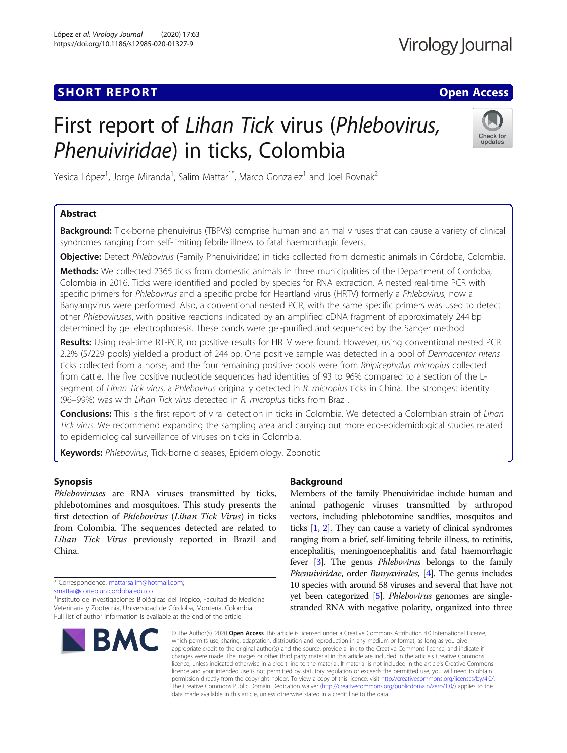## **SHORT REPORT CONTRACT CONTRACT CONTRACT CONTRACT CONTRACT CONTRACT CONTRACT CONTRACT CONTRACT CONTRACT CONTRACT CONTRACT CONTRACT CONTRACT CONTRACT CONTRACT CONTRACT CONTRACT CONTRACT CONTRACT CONTRACT CONTRACT CONTRACT C**

# First report of Lihan Tick virus (Phlebovirus, Phenuiviridae) in ticks, Colombia



Yesica López<sup>1</sup>, Jorge Miranda<sup>1</sup>, Salim Mattar<sup>1\*</sup>, Marco Gonzalez<sup>1</sup> and Joel Rovnak<sup>2</sup>

## Abstract

Background: Tick-borne phenuivirus (TBPVs) comprise human and animal viruses that can cause a variety of clinical syndromes ranging from self-limiting febrile illness to fatal haemorrhagic fevers.

Objective: Detect Phlebovirus (Family Phenuiviridae) in ticks collected from domestic animals in Córdoba, Colombia.

Methods: We collected 2365 ticks from domestic animals in three municipalities of the Department of Cordoba, Colombia in 2016. Ticks were identified and pooled by species for RNA extraction. A nested real-time PCR with specific primers for Phlebovirus and a specific probe for Heartland virus (HRTV) formerly a Phlebovirus, now a Banyangvirus were performed. Also, a conventional nested PCR, with the same specific primers was used to detect other Phleboviruses, with positive reactions indicated by an amplified cDNA fragment of approximately 244 bp determined by gel electrophoresis. These bands were gel-purified and sequenced by the Sanger method.

Results: Using real-time RT-PCR, no positive results for HRTV were found. However, using conventional nested PCR 2.2% (5/229 pools) yielded a product of 244 bp. One positive sample was detected in a pool of Dermacentor nitens ticks collected from a horse, and the four remaining positive pools were from Rhipicephalus microplus collected from cattle. The five positive nucleotide sequences had identities of 93 to 96% compared to a section of the Lsegment of Lihan Tick virus, a Phlebovirus originally detected in R. microplus ticks in China. The strongest identity (96–99%) was with Lihan Tick virus detected in R. microplus ticks from Brazil.

Conclusions: This is the first report of viral detection in ticks in Colombia. We detected a Colombian strain of Lihan Tick virus. We recommend expanding the sampling area and carrying out more eco-epidemiological studies related to epidemiological surveillance of viruses on ticks in Colombia.

Keywords: Phlebovirus, Tick-borne diseases, Epidemiology, Zoonotic

## Synopsis

Phleboviruses are RNA viruses transmitted by ticks, phlebotomines and mosquitoes. This study presents the first detection of Phlebovirus (Lihan Tick Virus) in ticks from Colombia. The sequences detected are related to Lihan Tick Virus previously reported in Brazil and China.

[smattar@correo.unicordoba.edu.co](mailto:smattar@correo.unicordoba.edu.co)

<sup>&</sup>lt;sup>1</sup>Instituto de Investigaciones Biológicas del Trópico, Facultad de Medicina Veterinaria y Zootecnia, Universidad de Córdoba, Montería, Colombia Full list of author information is available at the end of the article



## Background

Members of the family Phenuiviridae include human and animal pathogenic viruses transmitted by arthropod vectors, including phlebotomine sandflies, mosquitos and ticks [\[1,](#page-4-0) [2\]](#page-4-0). They can cause a variety of clinical syndromes ranging from a brief, self-limiting febrile illness, to retinitis, encephalitis, meningoencephalitis and fatal haemorrhagic fever [\[3\]](#page-4-0). The genus Phlebovirus belongs to the family Phenuiviridae, order Bunyavirales, [[4](#page-4-0)]. The genus includes 10 species with around 58 viruses and several that have not yet been categorized [[5](#page-4-0)]. Phlebovirus genomes are singlestranded RNA with negative polarity, organized into three

© The Author(s), 2020 **Open Access** This article is licensed under a Creative Commons Attribution 4.0 International License, which permits use, sharing, adaptation, distribution and reproduction in any medium or format, as long as you give appropriate credit to the original author(s) and the source, provide a link to the Creative Commons licence, and indicate if changes were made. The images or other third party material in this article are included in the article's Creative Commons licence, unless indicated otherwise in a credit line to the material. If material is not included in the article's Creative Commons licence and your intended use is not permitted by statutory regulation or exceeds the permitted use, you will need to obtain permission directly from the copyright holder. To view a copy of this licence, visit [http://creativecommons.org/licenses/by/4.0/.](http://creativecommons.org/licenses/by/4.0/) The Creative Commons Public Domain Dedication waiver [\(http://creativecommons.org/publicdomain/zero/1.0/](http://creativecommons.org/publicdomain/zero/1.0/)) applies to the data made available in this article, unless otherwise stated in a credit line to the data.

<sup>\*</sup> Correspondence: [mattarsalim@hotmail.com](mailto:mattarsalim@hotmail.com);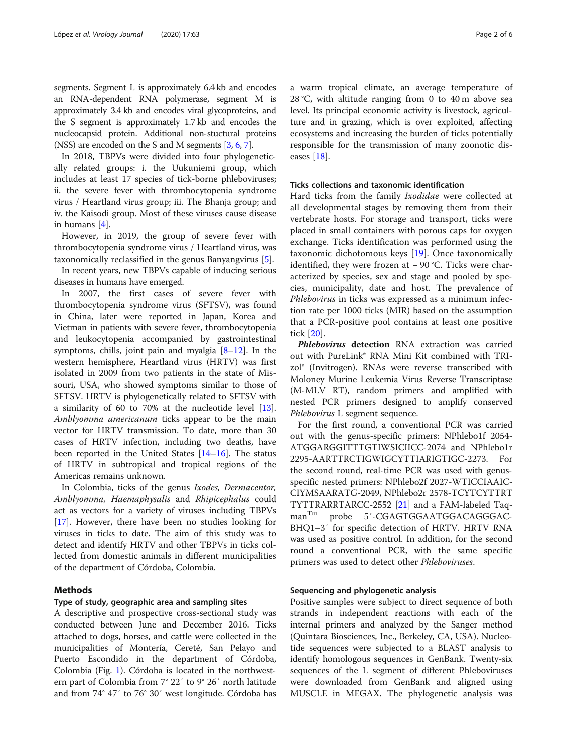segments. Segment L is approximately 6.4 kb and encodes an RNA-dependent RNA polymerase, segment M is approximately 3.4 kb and encodes viral glycoproteins, and the S segment is approximately 1.7 kb and encodes the nucleocapsid protein. Additional non-stuctural proteins (NSS) are encoded on the S and M segments [\[3,](#page-4-0) [6](#page-4-0), [7](#page-4-0)].

In 2018, TBPVs were divided into four phylogenetically related groups: i. the Uukuniemi group, which includes at least 17 species of tick-borne phleboviruses; ii. the severe fever with thrombocytopenia syndrome virus / Heartland virus group; iii. The Bhanja group; and iv. the Kaisodi group. Most of these viruses cause disease in humans [\[4](#page-4-0)].

However, in 2019, the group of severe fever with thrombocytopenia syndrome virus / Heartland virus, was taxonomically reclassified in the genus Banyangvirus [\[5\]](#page-4-0).

In recent years, new TBPVs capable of inducing serious diseases in humans have emerged.

In 2007, the first cases of severe fever with thrombocytopenia syndrome virus (SFTSV), was found in China, later were reported in Japan, Korea and Vietman in patients with severe fever, thrombocytopenia and leukocytopenia accompanied by gastrointestinal symptoms, chills, joint pain and myalgia [[8](#page-4-0)–[12](#page-4-0)]. In the western hemisphere, Heartland virus (HRTV) was first isolated in 2009 from two patients in the state of Missouri, USA, who showed symptoms similar to those of SFTSV. HRTV is phylogenetically related to SFTSV with a similarity of 60 to 70% at the nucleotide level [\[13](#page-4-0)]. Amblyomma americanum ticks appear to be the main vector for HRTV transmission. To date, more than 30 cases of HRTV infection, including two deaths, have been reported in the United States [[14](#page-5-0)–[16](#page-5-0)]. The status of HRTV in subtropical and tropical regions of the Americas remains unknown.

In Colombia, ticks of the genus Ixodes, Dermacentor, Amblyomma, Haemaphysalis and Rhipicephalus could act as vectors for a variety of viruses including TBPVs [[17\]](#page-5-0). However, there have been no studies looking for viruses in ticks to date. The aim of this study was to detect and identify HRTV and other TBPVs in ticks collected from domestic animals in different municipalities of the department of Córdoba, Colombia.

## Methods

### Type of study, geographic area and sampling sites

A descriptive and prospective cross-sectional study was conducted between June and December 2016. Ticks attached to dogs, horses, and cattle were collected in the municipalities of Montería, Cereté, San Pelayo and Puerto Escondido in the department of Córdoba, Colombia (Fig. [1](#page-2-0)). Córdoba is located in the northwestern part of Colombia from 7° 22′ to 9° 26′ north latitude and from 74° 47′ to 76° 30′ west longitude. Córdoba has a warm tropical climate, an average temperature of 28 °C, with altitude ranging from 0 to 40 m above sea level. Its principal economic activity is livestock, agriculture and in grazing, which is over exploited, affecting ecosystems and increasing the burden of ticks potentially responsible for the transmission of many zoonotic diseases [[18](#page-5-0)].

#### Ticks collections and taxonomic identification

Hard ticks from the family Ixodidae were collected at all developmental stages by removing them from their vertebrate hosts. For storage and transport, ticks were placed in small containers with porous caps for oxygen exchange. Ticks identification was performed using the taxonomic dichotomous keys [\[19](#page-5-0)]. Once taxonomically identified, they were frozen at − 90 °C. Ticks were characterized by species, sex and stage and pooled by species, municipality, date and host. The prevalence of Phlebovirus in ticks was expressed as a minimum infection rate per 1000 ticks (MIR) based on the assumption that a PCR-positive pool contains at least one positive tick [\[20](#page-5-0)].

Phlebovirus detection RNA extraction was carried out with PureLink® RNA Mini Kit combined with TRIzol® (Invitrogen). RNAs were reverse transcribed with Moloney Murine Leukemia Virus Reverse Transcriptase (M-MLV RT), random primers and amplified with nested PCR primers designed to amplify conserved Phlebovirus L segment sequence.

For the first round, a conventional PCR was carried out with the genus-specific primers: NPhlebo1f 2054- ATGGARGGITTTGTIWSICIICC-2074 and NPhlebo1r 2295-AARTTRCTIGWIGCYTTIARIGTIGC-2273. the second round, real-time PCR was used with genusspecific nested primers: NPhlebo2f 2027-WTICCIAAIC-CIYMSAARATG-2049, NPhlebo2r 2578-TCYTCYTTRT TYTTRARRTARCC-2552 [\[21](#page-5-0)] and a FAM-labeled Taqman<sup>Tm</sup> probe 5'-CGAGTGGAATGGACAGGGAC-BHQ1–3′ for specific detection of HRTV. HRTV RNA was used as positive control. In addition, for the second round a conventional PCR, with the same specific primers was used to detect other Phleboviruses.

### Sequencing and phylogenetic analysis

Positive samples were subject to direct sequence of both strands in independent reactions with each of the internal primers and analyzed by the Sanger method (Quintara Biosciences, Inc., Berkeley, CA, USA). Nucleotide sequences were subjected to a BLAST analysis to identify homologous sequences in GenBank. Twenty-six sequences of the L segment of different Phleboviruses were downloaded from GenBank and aligned using MUSCLE in MEGAX. The phylogenetic analysis was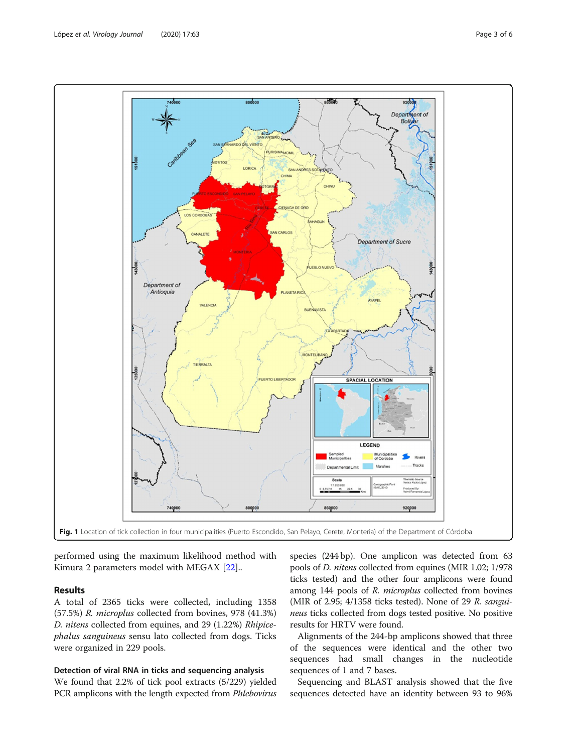performed using the maximum likelihood method with Kimura 2 parameters model with MEGAX [\[22](#page-5-0)]..

## Results

A total of 2365 ticks were collected, including 1358 (57.5%) R. microplus collected from bovines, 978 (41.3%) D. nitens collected from equines, and 29 (1.22%) Rhipicephalus sanguineus sensu lato collected from dogs. Ticks were organized in 229 pools.

## Detection of viral RNA in ticks and sequencing analysis

We found that 2.2% of tick pool extracts (5/229) yielded PCR amplicons with the length expected from *Phlebovirus* 

species (244 bp). One amplicon was detected from 63 pools of D. nitens collected from equines (MIR 1.02; 1/978 ticks tested) and the other four amplicons were found among 144 pools of R. microplus collected from bovines (MIR of 2.95; 4/1358 ticks tested). None of 29 R. sanguineus ticks collected from dogs tested positive. No positive results for HRTV were found.

Alignments of the 244-bp amplicons showed that three of the sequences were identical and the other two sequences had small changes in the nucleotide sequences of 1 and 7 bases.

Sequencing and BLAST analysis showed that the five sequences detected have an identity between 93 to 96%

<span id="page-2-0"></span>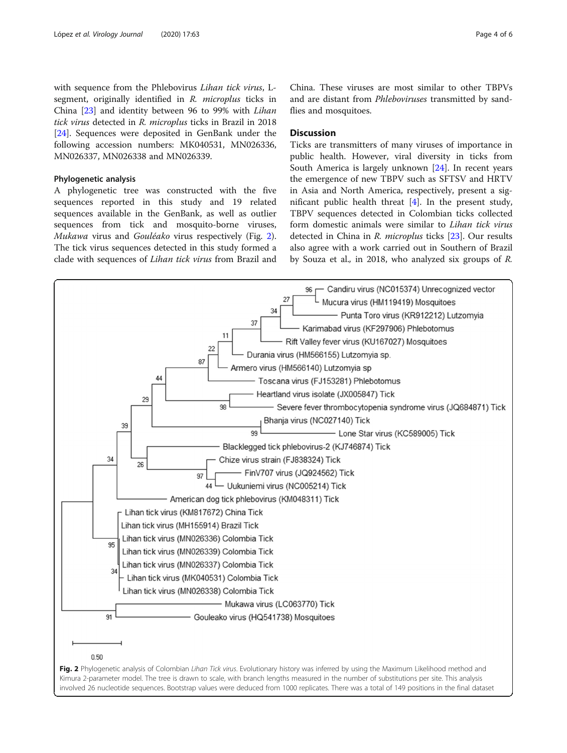with sequence from the Phlebovirus Lihan tick virus, Lsegment, originally identified in R. microplus ticks in China [\[23](#page-5-0)] and identity between 96 to 99% with Lihan tick virus detected in R. microplus ticks in Brazil in 2018 [[24\]](#page-5-0). Sequences were deposited in GenBank under the following accession numbers: MK040531, MN026336, MN026337, MN026338 and MN026339.

## Phylogenetic analysis

A phylogenetic tree was constructed with the five sequences reported in this study and 19 related sequences available in the GenBank, as well as outlier sequences from tick and mosquito-borne viruses, Mukawa virus and Gouléako virus respectively (Fig. 2). The tick virus sequences detected in this study formed a clade with sequences of Lihan tick virus from Brazil and

China. These viruses are most similar to other TBPVs and are distant from Phleboviruses transmitted by sandflies and mosquitoes.

## **Discussion**

Ticks are transmitters of many viruses of importance in public health. However, viral diversity in ticks from South America is largely unknown [\[24\]](#page-5-0). In recent years the emergence of new TBPV such as SFTSV and HRTV in Asia and North America, respectively, present a significant public health threat [[4\]](#page-4-0). In the present study, TBPV sequences detected in Colombian ticks collected form domestic animals were similar to Lihan tick virus detected in China in R. microplus ticks [\[23](#page-5-0)]. Our results also agree with a work carried out in Southern of Brazil by Souza et al., in 2018, who analyzed six groups of R.

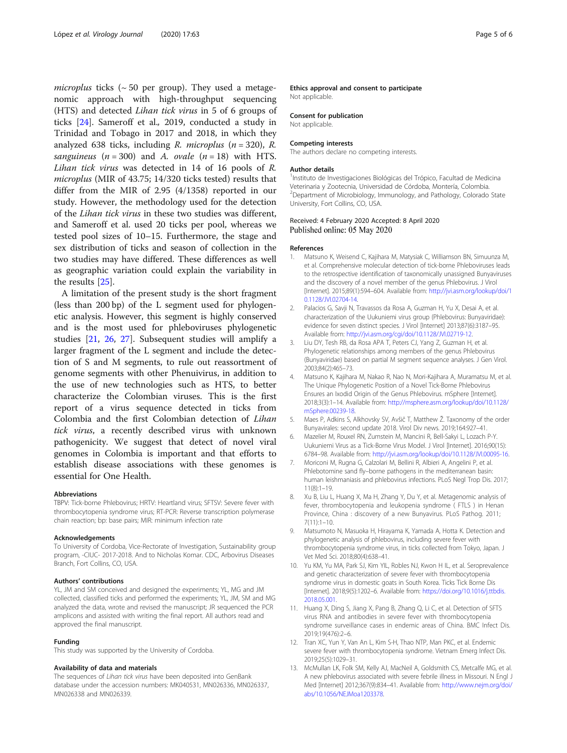<span id="page-4-0"></span>microplus ticks ( $\sim$  50 per group). They used a metagenomic approach with high-throughput sequencing (HTS) and detected Lihan tick virus in 5 of 6 groups of ticks [\[24](#page-5-0)]. Sameroff et al., 2019, conducted a study in Trinidad and Tobago in 2017 and 2018, in which they analyzed 638 ticks, including R. microplus ( $n = 320$ ), R. sanguineus ( $n = 300$ ) and A. ovale ( $n = 18$ ) with HTS. Lihan tick virus was detected in 14 of 16 pools of R. microplus (MIR of 43.75; 14/320 ticks tested) results that differ from the MIR of 2.95 (4/1358) reported in our study. However, the methodology used for the detection of the Lihan tick virus in these two studies was different, and Sameroff et al. used 20 ticks per pool, whereas we tested pool sizes of 10–15. Furthermore, the stage and sex distribution of ticks and season of collection in the two studies may have differed. These differences as well as geographic variation could explain the variability in the results [\[25](#page-5-0)].

A limitation of the present study is the short fragment (less than 200 bp) of the L segment used for phylogenetic analysis. However, this segment is highly conserved and is the most used for phleboviruses phylogenetic studies [[21,](#page-5-0) [26,](#page-5-0) [27](#page-5-0)]. Subsequent studies will amplify a larger fragment of the L segment and include the detection of S and M segments, to rule out reassortment of genome segments with other Phenuivirus, in addition to the use of new technologies such as HTS, to better characterize the Colombian viruses. This is the first report of a virus sequence detected in ticks from Colombia and the first Colombian detection of Lihan tick virus, a recently described virus with unknown pathogenicity. We suggest that detect of novel viral genomes in Colombia is important and that efforts to establish disease associations with these genomes is essential for One Health.

#### Abbreviations

TBPV: Tick-borne Phlebovirus; HRTV: Heartland virus; SFTSV: Severe fever with thrombocytopenia syndrome virus; RT-PCR: Reverse transcription polymerase chain reaction; bp: base pairs; MIR: minimum infection rate

#### Acknowledgements

To University of Cordoba, Vice-Rectorate of Investigation, Sustainability group program, -CIUC- 2017-2018. And to Nicholas Komar. CDC, Arbovirus Diseases Branch, Fort Collins, CO, USA.

#### Authors' contributions

YL, JM and SM conceived and designed the experiments; YL, MG and JM collected, classified ticks and performed the experiments; YL, JM, SM and MG analyzed the data, wrote and revised the manuscript; JR sequenced the PCR amplicons and assisted with writing the final report. All authors read and approved the final manuscript.

#### Funding

This study was supported by the University of Cordoba.

#### Availability of data and materials

The sequences of Lihan tick virus have been deposited into GenBank database under the accession numbers: MK040531, MN026336, MN026337, MN026338 and MN026339.

## Ethics approval and consent to participate

Not applicable.

#### Consent for publication

Not applicable.

#### Competing interests

The authors declare no competing interests.

#### Author details

<sup>1</sup>Instituto de Investigaciones Biológicas del Trópico, Facultad de Medicina Veterinaria y Zootecnia, Universidad de Córdoba, Montería, Colombia. <sup>2</sup>Department of Microbiology, Immunology, and Pathology, Colorado State University, Fort Collins, CO, USA.

#### Received: 4 February 2020 Accepted: 8 April 2020 Published online: 05 May 2020

#### References

- 1. Matsuno K, Weisend C, Kajihara M, Matysiak C, Williamson BN, Simuunza M, et al. Comprehensive molecular detection of tick-borne Phleboviruses leads to the retrospective identification of taxonomically unassigned Bunyaviruses and the discovery of a novel member of the genus Phlebovirus. J Virol [Internet]. 2015;89(1):594–604. Available from: [http://jvi.asm.org/lookup/doi/1](http://jvi.asm.org/lookup/doi/10.1128/JVI.02704-14) [0.1128/JVI.02704-14](http://jvi.asm.org/lookup/doi/10.1128/JVI.02704-14).
- 2. Palacios G, Savji N, Travassos da Rosa A, Guzman H, Yu X, Desai A, et al. characterization of the Uukuniemi virus group (Phlebovirus: Bunyaviridae): evidence for seven distinct species. J Virol [Internet] 2013;87(6):3187–95. Available from: [http://jvi.asm.org/cgi/doi/10.1128/JVI.02719-12.](http://jvi.asm.org/cgi/doi/10.1128/JVI.02719-12)
- 3. Liu DY, Tesh RB, da Rosa APA T, Peters CJ, Yang Z, Guzman H, et al. Phylogenetic relationships among members of the genus Phlebovirus (Bunyaviridae) based on partial M segment sequence analyses. J Gen Virol. 2003;84(2):465–73.
- 4. Matsuno K, Kajihara M, Nakao R, Nao N, Mori-Kajihara A, Muramatsu M, et al. The Unique Phylogenetic Position of a Novel Tick-Borne Phlebovirus Ensures an Ixodid Origin of the Genus Phlebovirus. mSphere [Internet]. 2018;3(3):1–14. Available from: [http://msphere.asm.org/lookup/doi/10.1128/](http://msphere.asm.org/lookup/doi/10.1128/mSphere.00239-18) [mSphere.00239-18](http://msphere.asm.org/lookup/doi/10.1128/mSphere.00239-18).
- 5. Maes P, Adkins S, Alkhovsky SV, Avšič T, Matthew Ž. Taxonomy of the order Bunyavirales: second update 2018. Virol Div news. 2019;164:927–41.
- 6. Mazelier M, Rouxel RN, Zumstein M, Mancini R, Bell-Sakyi L, Lozach P-Y. Uukuniemi Virus as a Tick-Borne Virus Model. J Virol [Internet]. 2016;90(15): 6784–98. Available from: <http://jvi.asm.org/lookup/doi/10.1128/JVI.00095-16>.
- 7. Moriconi M, Rugna G, Calzolari M, Bellini R, Albieri A, Angelini P, et al. Phlebotomine sand fly–borne pathogens in the mediterranean basin: human leishmaniasis and phlebovirus infections. PLoS Negl Trop Dis. 2017;  $11(8) \cdot 1 - 19$
- 8. Xu B, Liu L, Huang X, Ma H, Zhang Y, Du Y, et al. Metagenomic analysis of fever, thrombocytopenia and leukopenia syndrome ( FTLS ) in Henan Province, China : discovery of a new Bunyavirus. PLoS Pathog. 2011; 7(11):1–10.
- 9. Matsumoto N, Masuoka H, Hirayama K, Yamada A, Hotta K. Detection and phylogenetic analysis of phlebovirus, including severe fever with thrombocytopenia syndrome virus, in ticks collected from Tokyo, Japan. J Vet Med Sci. 2018;80(4):638–41.
- 10. Yu KM, Yu MA, Park SJ, Kim YIL, Robles NJ, Kwon H IL, et al. Seroprevalence and genetic characterization of severe fever with thrombocytopenia syndrome virus in domestic goats in South Korea. Ticks Tick Borne Dis [Internet]. 2018;9(5):1202–6. Available from: [https://doi.org/10.1016/j.ttbdis.](https://doi.org/10.1016/j.ttbdis.2018.05.001) [2018.05.001.](https://doi.org/10.1016/j.ttbdis.2018.05.001)
- 11. Huang X, Ding S, Jiang X, Pang B, Zhang Q, Li C, et al. Detection of SFTS virus RNA and antibodies in severe fever with thrombocytopenia syndrome surveillance cases in endemic areas of China. BMC Infect Dis. 2019;19(476):2–6.
- 12. Tran XC, Yun Y, Van An L, Kim S-H, Thao NTP, Man PKC, et al. Endemic severe fever with thrombocytopenia syndrome. Vietnam Emerg Infect Dis. 2019;25(5):1029–31.
- 13. McMullan LK, Folk SM, Kelly AJ, MacNeil A, Goldsmith CS, Metcalfe MG, et al. A new phlebovirus associated with severe febrile illness in Missouri. N Engl J Med [Internet] 2012;367(9):834–41. Available from: [http://www.nejm.org/doi/](http://www.nejm.org/doi/abs/10.1056/NEJMoa1203378) [abs/10.1056/NEJMoa1203378.](http://www.nejm.org/doi/abs/10.1056/NEJMoa1203378)